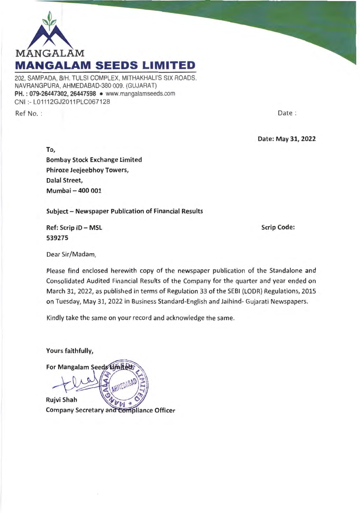

202, SAMPADA, B/H. TULSI COMPLEX, MITHAKHALl'S SIX ROADS, NAVRANGPURA, AHMEDABAD-380 009. (GUJARAT) PH.: 079-26447302, 26447598 • www.mangalamseeds.com CNI :- L01112GJ2011 PLC067128

Ref No. :

Date :

Date: May 31, 2022

To, Bombay Stock Exchange Limited Phiroze Jeejeebhoy Towers, Dalal Street, Mumbai - 400 001

Subject - Newspaper Publication of Financial Results

Ref: Scrip ID - MSL 539275

Scrip Code:

Dear Sir/Madam,

Please find enclosed herewith copy of the newspaper publication of the Standalone and Consolidated Audited Financial Results of the Company for the quarter and year ended on March 31, 2022, as published in terms of Regulation 33 of the SEBI (LODR) Regulations, 2015 on Tuesday, May 31, 2022 in Business Standard-English and Jaihind- Gujarati Newspapers.

Kindly take the same on your record and acknowledge the same.

Yours faithfully, For Mangalam Seeds Limited Rujvi Shah Company Secretary and Compliance Officer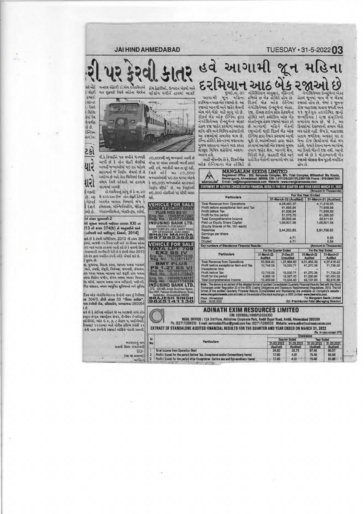TUESDAY • 31-5-2022 03

## **JAI HIND AHMEDABAD**



વી.કે.ત્રિપાઠીને પત્ર લખીને ચેતવણી આપી છે કે નોન સેફ્ટી શ્રેણીમાં પાડવામાં આવશે.

 $1 - 1 - 6$ ડો.રાધવૈયાનું કહેવુ છે કે તા.૨૦ છે. આ મે ૨૦૨૨ના રોજ નોન સેફ્ટી કેટેગરી i નેટવર્ક અંતર્ગત આવતા વિભાગો જેમ કે 1 દેશને કોમશયલ, એન્જિનિયરિંગ, મેડિકલ, [ચ્યો છે. એસ્ટાબ્લીસમેન્ટ, એકાઉન્ટસ, સ્ટોર્સ,

## ોર્મ નંબર ચુઆરસી-2

ાારા

iશે સૂચના આપતી જાહેરાત પ્રકરણ XXI ના )13 ની કલમ 374(b) ને અનુસરીને અને । (નોંધણી માટે અધિકૃત) નિચમો, 2014]

તાવે છે કે કંપની અધિનિયમ, 2013 ની કલમ 366 ાનમાં, આજથી ૧૫ દિવસ પછી અને ૩૦ દિવસ પહેલા ન્ટર ખાતે અરજી કરવામાં આવી શકે છે કે વાયબી શિલ્પ જવાબદારી ભાગીદારી પેઢી છે તે કંપની એક્ટ 2013 ઠળ શેર દ્વારા મર્યાદિત કંપની તરીકે નોંધાઈ શકે છે. ો મુજબ છેઃ

વા, સુધારવા, વિકાસ કરવા, આપવા અથવા બદલામં ભાડે, કબજો, મંજૂરી, નિયંત્રણ, જાળવણી, સંચાલન, ાથ ધરવા અથવા બદલવા માટે જરૂરી હોય અથવા નથવા કીહોલ્ડ જમીન, જંગમ અથવા સ્થાવર મિલકત, .<br>કેસ સ્ટોર્સ, આરામ અથવા અન્ય અધિકારો, મશીનરી, ગિક વસાહત, તમામ આધુનિક સુવિધાઓ અને સુવિધા

ર્ટિકલ ઓફ એસોસિએશનના લેખોની નકલ નું નિરીક્ષણ нг 304/3, टीपी जंબर 50 "शिल्प ढाઉस", પથ રંગોલી રોડ, બોડકદેવ, અમદાવાદ-380054  $153$ 

નાવે છે કે કોઈપણ વ્યક્તિને જો આ અરજીથી વાંધો હોય pસ્ટાર-સેન્ટ્લ રજીસ્ટ્રેશન સેન્ટર, ઈન્ડીયન ઈન્સ્ટીટયુટ **તાઈસીએ), પ્લોટ નં. ૬, ૭, ૮ સેકટર પ, આઈએમ**ટી, રિયાણા) ૧૨૨૦૫૦ ખાતે નોટીસ પ્રસિધ્ધ થયેથી ૨૧ તેની નકલ કંપનીની રજીસ્ટર્ડ ઓફિસે મોકલી આપવી

> અરજદારનું ન વાયબી શિલ્પ એલએલ

> > (યશ જી બ્રહ્મભ ભાગી

SD

૮૦,૦૦૦થી વધુ જગ્યાઓ ખાલી છે જેના પર લાંબા સમયથી ભરતી કરાઇ આવતી જગ્યાઓમાં ૫૦ ટકા મહેકમ નથી. હવે, ભરતીની વાત તા દૂર રહી, ઘટાડવાનો જે નિર્ણય લેવાયો છે તે રેલવે બોર્ડે આ ૮૦,૦૦૦ અયોગ્ય છે અને તેના વિરોધમાં દેશના જગ્યાઓમાંથી ૫૦ ટકા જગ્યા એટલે તમામ રેલવે સ્ટેશનો પર હડતાલ } ૪૦,૦૦૦ જગ્યાઓને ઘટાડવાનો નિર્ણય લીધો છે. આ નિર્ણયથી ૪૦,૦૦૦ નોકરીઓ પર સીધી અસર થશે.



1.2TBS Reg. No.: GJ01JT084 No.: J40408/K4618<br>No.: GJ27TT432 INDUSIND BANK LTD. CFD, 405-406, Arista Business<br>Opp HOF, Pakwan-Sindhubhava BRAJESH SINGH

## હવં

રજાઓ ખાનગી અને જાહેર ક્ષેત્રની એમ બંને બેંકો માટે લાગુ પડે છે. રીઝર્વ બેંક ઓફ ઈન્ડિયા દ્વારા નેગોશિયેબલ ઈન્સ્ટ્રૂમેન્ટ એક્ટ શેડ્યૂલ વિવિધ શહેરોમાં અલગ-અલગ હશે.

ઓફ ઇન્ડિયાના બેક હોલિડે εò

દરમિયાન આઠબેકરજાઓ છે. આ રિઝર્વ બેક ઓફ ઇન્ડિયા રજાઓ હોય છે, જેમાં ર જૂનના .<br>હેઠળ રજા જાહેર કરવામાં આવતા છે. આગામી મહિને બેંકની દિવસોમાં દેશભરની તમામ બેંકો<br>શનિ-રવિ અને વિવિધ તહેવારોનો રજાઓની યાદી રિઝર્વ બેંક ઓફ બંધ રહેશે નહીં. જેમ કે, મહારાણા આ રજાઓમાં સમાવેશ થાય છે. ઇન્ડિયા દ્વારા તૈયાર કરવામાં આવી પ્રતાય જયંતિના અવસર પર ૯ ઈમ્ના હોલિડે કેલેન્ડરમાં જણાવાયા ચૂકી છે.આરંબીઆઇ દ્વારા જાહેર મેના રોજ શિલોંગમાં બેંકો બંધ મુજબ સપ્તાહના અંતને બાદ કરતા કરવામાં આવેલી બેંક રજાઓ મુજબ રહેશે, જ્યારે દેશના અન્ય ભાગોમાં અહીં નોંધનીય છે કે, રિઝર્વ બેક પ્રાદેશિક બેંકોની શાખાઓ બંધ રહે રજાઓ ચોક્કસ ક્ષેત્ર પૂરતી મર્યાદિત

મુંબઇ, તા. 30 નોટિફિકેશન અનુસાર, વીકેન્ડની નેગોશિયેબલ ઇન્સ્ટ્રૂમેન્ટ એક્ટ<br>આગામી જૂન મહિના દ્રષ્ટિએ છુ બેક હોલિડે હોય છે. હેઠળ જૂનમાં માત્ર બે જ બેંકમાં નેગોશિયેબલ ઇન્સ્ટ્રૂમેન્ટ એક્ટ, રોજ મહારાશા પ્રતાય જયંતી અને રજા, રીઅલ ટાઇમ ગ્રોસ સેટલમેન્ટ ૧૧ જૂનેગુરુ હરગોબિંદ જીનો હોલિડે અને ક્લોઝિંગ ઓફ બેંક જન્મદિવસ / રાજા સંક્રાંતિનો એકાઉન્ટ્સ હેઠળ રજાઓ જાહેર કરે સમાવેશ થાય છે. જો કે, આ તમામ જાહેર ક્ષેત્ર, ખાનગી ક્ષેત્ર, આ દિવસે બેંકની રજા નથી. આનો<br>વિદેશી બેંકો, સહકારી બેંકો અને અર્થ એ છે કે મોટાભાગની બેંક હોય છે.

|                                                            |                               | STATEMENT OF AUDITED CONSOLIDATED FINANCIAL RESULTS FOR THE QUARTER AND YEAR ENDED MARCH 31, 2022<br>(Amount In Thousands) |                               |                       |                               |                               |  |  |  |  |  |
|------------------------------------------------------------|-------------------------------|----------------------------------------------------------------------------------------------------------------------------|-------------------------------|-----------------------|-------------------------------|-------------------------------|--|--|--|--|--|
| <b>Particulars</b>                                         |                               |                                                                                                                            |                               | For the Year Ended    |                               |                               |  |  |  |  |  |
|                                                            |                               |                                                                                                                            | 31-March-22 (Audited)         | 31-March-21 (Audited) |                               |                               |  |  |  |  |  |
| <b>Total Revenue from Operations</b>                       |                               |                                                                                                                            | 4.08,483.37                   |                       |                               | 4,11,816.65                   |  |  |  |  |  |
| Profit before exceptional item and Tax                     |                               |                                                                                                                            | 61,698.94                     |                       |                               | 71,659.88                     |  |  |  |  |  |
| Profit before Tax                                          |                               |                                                                                                                            | 61,698.94                     |                       |                               | 71,659.88                     |  |  |  |  |  |
| Profit for the period<br><b>Total Comprehensive Income</b> |                               |                                                                                                                            | 51,673.75<br>50,509.94        |                       |                               | 61,386.55<br>62,911.91        |  |  |  |  |  |
| Paid up Equity Share Capital                               |                               |                                                                                                                            | 1.09.801.58                   |                       |                               | 1,09,801.58                   |  |  |  |  |  |
| (Equity Shares of Rs. 10/- each)                           |                               |                                                                                                                            |                               |                       |                               |                               |  |  |  |  |  |
| <b>Reserves</b>                                            |                               |                                                                                                                            | 3,44,202.83                   |                       |                               | 2,91,738.62                   |  |  |  |  |  |
| Earnings per share                                         |                               |                                                                                                                            |                               |                       |                               |                               |  |  |  |  |  |
| Basic:                                                     |                               |                                                                                                                            | 4.71                          |                       |                               | 5.59                          |  |  |  |  |  |
| Diluted:                                                   |                               |                                                                                                                            | 4.71                          |                       |                               | 5.59                          |  |  |  |  |  |
| Key numbers of Standalone Financial Results :              |                               |                                                                                                                            |                               |                       |                               | (Amount in Thousands)         |  |  |  |  |  |
|                                                            |                               |                                                                                                                            | For the Quarter Ended         |                       | For the Year Ended            |                               |  |  |  |  |  |
| <b>Particulars</b>                                         | 31-March-22<br><b>Audited</b> |                                                                                                                            | 31-Dec-21<br><b>Unaudited</b> |                       | 31-March-22<br><b>Audited</b> | 31-March-21<br><b>Audited</b> |  |  |  |  |  |
| <b>Total Revenue from Operations</b>                       |                               | 63,854.43                                                                                                                  | 1,27,964.83                   | 4.01.453.35           |                               | 4.07.416.42                   |  |  |  |  |  |
| Profit before exceptional item and Tax                     |                               | 10,748.09                                                                                                                  | 19,030.71                     |                       | 61,270.36                     | 71,736.02                     |  |  |  |  |  |
| <b>Exceptional Item</b>                                    |                               |                                                                                                                            |                               |                       |                               |                               |  |  |  |  |  |
| Profit before Tax<br>Profit for the period                 |                               | 10,748.09<br>9,995.16                                                                                                      | 19,030.71<br>15,387.43        |                       | 61,270.36<br>51,300.84        | 71,736.02<br>$-61,454.32$     |  |  |  |  |  |
| <b>Total Comprehensive Income</b>                          |                               | 10,439.56                                                                                                                  | 15,534.43                     |                       | 52,137.03                     | 62,979.68                     |  |  |  |  |  |

## CIN: L65100GJ1995PLC024300

REGI. OFFICE: 12A 3rd Floor, Abhishree Corporate Park, Ambli Bopal Road, Ambli, Ahmedabad 380058 Ph. (02717)298510 E-mail: aerlnodalofficer@gmail.com Fax: (02717)298520 Website: www.adinatheximresources.com

EXTRACT OF STANDALONE AUDITED FINANCIAL RESULTS FOR THE QUARTER AND YEAR ENDED ON MARCH 31, 2022 (Rs. In Lacs except EPS)

|    |  |                                                                                       | <b>Standalone</b>    |                   |           |            |  |  |  |  |  |
|----|--|---------------------------------------------------------------------------------------|----------------------|-------------------|-----------|------------|--|--|--|--|--|
|    |  |                                                                                       | <b>Quarter Ended</b> | <b>Year Ended</b> |           |            |  |  |  |  |  |
|    |  | <b>Particulars</b>                                                                    |                      | 31 03 2021        |           | 31.03.2021 |  |  |  |  |  |
| aı |  |                                                                                       | (Audited)            | (Audited)         | (Audited) | (Audited)  |  |  |  |  |  |
|    |  | <b>Total Income from Operation (Net)</b>                                              | 24.82                | 28.75             | 97.48     | 90.57      |  |  |  |  |  |
|    |  | Profit / (Loss) for the period (before Tax, Exceptional and/or Extraordinary items)   | 17.90                | 4.91              | 75.46     | 65.86      |  |  |  |  |  |
|    |  | Profit / (Loss) for the period after Exceptional (bafors tax and Extraordinary itema) | 17.90                | $-4.91 -$         | 75.48     | 65.88      |  |  |  |  |  |